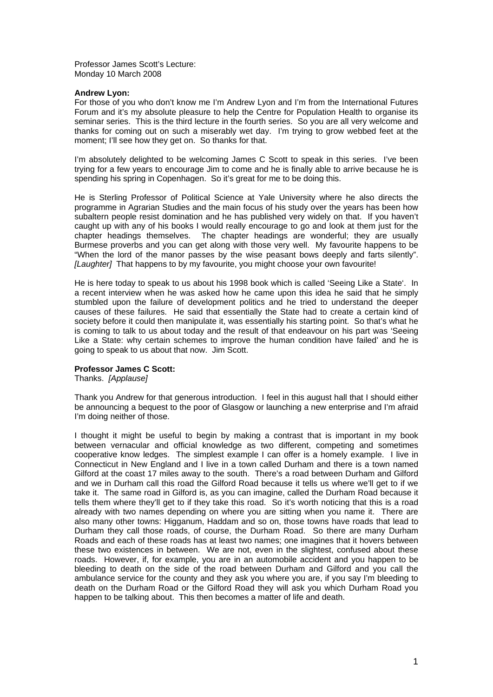Professor James Scott's Lecture: Monday 10 March 2008

## **Andrew Lyon:**

For those of you who don't know me I'm Andrew Lyon and I'm from the International Futures Forum and it's my absolute pleasure to help the Centre for Population Health to organise its seminar series. This is the third lecture in the fourth series. So you are all very welcome and thanks for coming out on such a miserably wet day. I'm trying to grow webbed feet at the moment; I'll see how they get on. So thanks for that.

I'm absolutely delighted to be welcoming James C Scott to speak in this series. I've been trying for a few years to encourage Jim to come and he is finally able to arrive because he is spending his spring in Copenhagen. So it's great for me to be doing this.

He is Sterling Professor of Political Science at Yale University where he also directs the programme in Agrarian Studies and the main focus of his study over the years has been how subaltern people resist domination and he has published very widely on that. If you haven't caught up with any of his books I would really encourage to go and look at them just for the chapter headings themselves. The chapter headings are wonderful; they are usually Burmese proverbs and you can get along with those very well. My favourite happens to be "When the lord of the manor passes by the wise peasant bows deeply and farts silently". *[Laughter]* That happens to by my favourite, you might choose your own favourite!

He is here today to speak to us about his 1998 book which is called 'Seeing Like a State'. In a recent interview when he was asked how he came upon this idea he said that he simply stumbled upon the failure of development politics and he tried to understand the deeper causes of these failures. He said that essentially the State had to create a certain kind of society before it could then manipulate it, was essentially his starting point. So that's what he is coming to talk to us about today and the result of that endeavour on his part was 'Seeing Like a State: why certain schemes to improve the human condition have failed' and he is going to speak to us about that now. Jim Scott.

## **Professor James C Scott:**

Thanks. *[Applause]*

Thank you Andrew for that generous introduction. I feel in this august hall that I should either be announcing a bequest to the poor of Glasgow or launching a new enterprise and I'm afraid I'm doing neither of those.

I thought it might be useful to begin by making a contrast that is important in my book between vernacular and official knowledge as two different, competing and sometimes cooperative know ledges. The simplest example I can offer is a homely example. I live in Connecticut in New England and I live in a town called Durham and there is a town named Gilford at the coast 17 miles away to the south. There's a road between Durham and Gilford and we in Durham call this road the Gilford Road because it tells us where we'll get to if we take it. The same road in Gilford is, as you can imagine, called the Durham Road because it tells them where they'll get to if they take this road. So it's worth noticing that this is a road already with two names depending on where you are sitting when you name it. There are also many other towns: Higganum, Haddam and so on, those towns have roads that lead to Durham they call those roads, of course, the Durham Road. So there are many Durham Roads and each of these roads has at least two names; one imagines that it hovers between these two existences in between. We are not, even in the slightest, confused about these roads. However, if, for example, you are in an automobile accident and you happen to be bleeding to death on the side of the road between Durham and Gilford and you call the ambulance service for the county and they ask you where you are, if you say I'm bleeding to death on the Durham Road or the Gilford Road they will ask you which Durham Road you happen to be talking about. This then becomes a matter of life and death.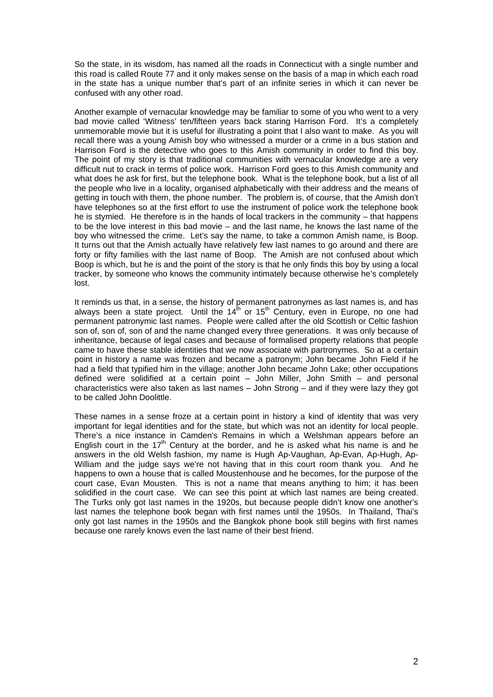So the state, in its wisdom, has named all the roads in Connecticut with a single number and this road is called Route 77 and it only makes sense on the basis of a map in which each road in the state has a unique number that's part of an infinite series in which it can never be confused with any other road.

Another example of vernacular knowledge may be familiar to some of you who went to a very bad movie called 'Witness' ten/fifteen years back staring Harrison Ford. It's a completely unmemorable movie but it is useful for illustrating a point that I also want to make. As you will recall there was a young Amish boy who witnessed a murder or a crime in a bus station and Harrison Ford is the detective who goes to this Amish community in order to find this boy. The point of my story is that traditional communities with vernacular knowledge are a very difficult nut to crack in terms of police work. Harrison Ford goes to this Amish community and what does he ask for first, but the telephone book. What is the telephone book, but a list of all the people who live in a locality, organised alphabetically with their address and the means of getting in touch with them, the phone number. The problem is, of course, that the Amish don't have telephones so at the first effort to use the instrument of police work the telephone book he is stymied. He therefore is in the hands of local trackers in the community – that happens to be the love interest in this bad movie – and the last name, he knows the last name of the boy who witnessed the crime. Let's say the name, to take a common Amish name, is Boop. It turns out that the Amish actually have relatively few last names to go around and there are forty or fifty families with the last name of Boop. The Amish are not confused about which Boop is which, but he is and the point of the story is that he only finds this boy by using a local tracker, by someone who knows the community intimately because otherwise he's completely lost.

It reminds us that, in a sense, the history of permanent patronymes as last names is, and has always been a state project. Until the  $14<sup>th</sup>$  or  $15<sup>th</sup>$  Century, even in Europe, no one had permanent patronymic last names. People were called after the old Scottish or Celtic fashion son of, son of, son of and the name changed every three generations. It was only because of inheritance, because of legal cases and because of formalised property relations that people came to have these stable identities that we now associate with partronymes. So at a certain point in history a name was frozen and became a patronym; John became John Field if he had a field that typified him in the village; another John became John Lake; other occupations defined were solidified at a certain point – John Miller, John Smith – and personal characteristics were also taken as last names – John Strong – and if they were lazy they got to be called John Doolittle.

These names in a sense froze at a certain point in history a kind of identity that was very important for legal identities and for the state, but which was not an identity for local people. There's a nice instance in Camden's Remains in which a Welshman appears before an English court in the  $17<sup>th</sup>$  Century at the border, and he is asked what his name is and he answers in the old Welsh fashion, my name is Hugh Ap-Vaughan, Ap-Evan, Ap-Hugh, Ap-William and the judge says we're not having that in this court room thank you. And he happens to own a house that is called Moustenhouse and he becomes, for the purpose of the court case, Evan Mousten. This is not a name that means anything to him; it has been solidified in the court case. We can see this point at which last names are being created. The Turks only got last names in the 1920s, but because people didn't know one another's last names the telephone book began with first names until the 1950s. In Thailand, Thai's only got last names in the 1950s and the Bangkok phone book still begins with first names because one rarely knows even the last name of their best friend.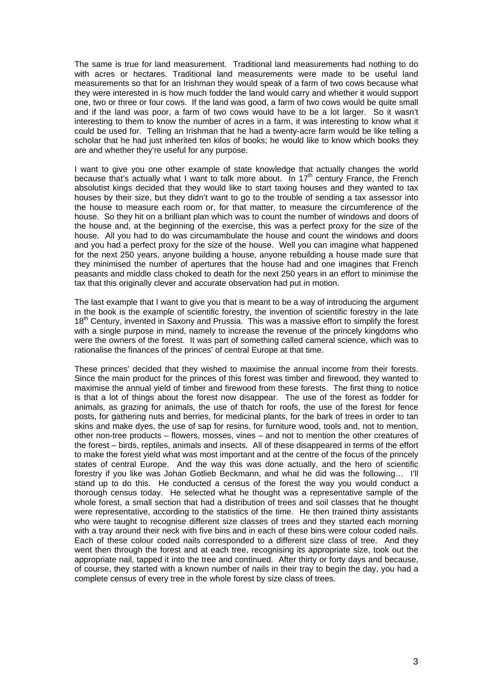The same is true for land measurement. Traditional land measurements had nothing to do with acres or hectares. Traditional land measurements were made to be useful land measurements so that for an Irishman they would speak of a farm of two cows because what they were interested in is how much fodder the land would carry and whether it would support one, two or three or four cows. If the land was good, a farm of two cows would be quite small and if the land was poor, a farm of two cows would have to be a lot larger. So it wasn't interesting to them to know the number of acres in a farm, it was interesting to know what it could be used for. Telling an Irishman that he had a twenty-acre farm would be like telling a scholar that he had just inherited ten kilos of books; he would like to know which books they are and whether they're useful for any purpose.

I want to give you one other example of state knowledge that actually changes the world because that's actually what I want to talk more about. In 17<sup>th</sup> century France, the French absolutist kings decided that they would like to start taxing houses and they wanted to tax houses by their size, but they didn't want to go to the trouble of sending a tax assessor into the house to measure each room or, for that matter, to measure the circumference of the house. So they hit on a brilliant plan which was to count the number of windows and doors of the house and, at the beginning of the exercise, this was a perfect proxy for the size of the house. All you had to do was circumambulate the house and count the windows and doors and you had a perfect proxy for the size of the house. Well you can imagine what happened for the next 250 years, anyone building a house, anyone rebuilding a house made sure that they minimised the number of apertures that the house had and one imagines that French peasants and middle class choked to death for the next 250 years in an effort to minimise the tax that this originally clever and accurate observation had put in motion.

The last example that I want to give you that is meant to be a way of introducing the argument in the book is the example of scientific forestry, the invention of scientific forestry in the late 18<sup>th</sup> Century, invented in Saxony and Prussia. This was a massive effort to simplify the forest with a single purpose in mind, namely to increase the revenue of the princely kingdoms who were the owners of the forest. It was part of something called cameral science, which was to rationalise the finances of the princes' of central Europe at that time.

These princes' decided that they wished to maximise the annual income from their forests. Since the main product for the princes of this forest was timber and firewood, they wanted to maximise the annual yield of timber and firewood from these forests. The first thing to notice is that a lot of things about the forest now disappear. The use of the forest as fodder for animals, as grazing for animals, the use of thatch for roofs, the use of the forest for fence posts, for gathering nuts and berries, for medicinal plants, for the bark of trees in order to tan skins and make dyes, the use of sap for resins, for furniture wood, tools and, not to mention, other non-tree products – flowers, mosses, vines – and not to mention the other creatures of the forest – birds, reptiles, animals and insects. All of these disappeared in terms of the effort to make the forest yield what was most important and at the centre of the focus of the princely states of central Europe. And the way this was done actually, and the hero of scientific forestry if you like was Johan Gotlieb Beckmann, and what he did was the following… I'll stand up to do this. He conducted a census of the forest the way you would conduct a thorough census today. He selected what he thought was a representative sample of the whole forest, a small section that had a distribution of trees and soil classes that he thought were representative, according to the statistics of the time. He then trained thirty assistants who were taught to recognise different size classes of trees and they started each morning with a tray around their neck with five bins and in each of these bins were colour coded nails. Each of these colour coded nails corresponded to a different size class of tree. And they went then through the forest and at each tree, recognising its appropriate size, took out the appropriate nail, tapped it into the tree and continued. After thirty or forty days and because, of course, they started with a known number of nails in their tray to begin the day, you had a complete census of every tree in the whole forest by size class of trees.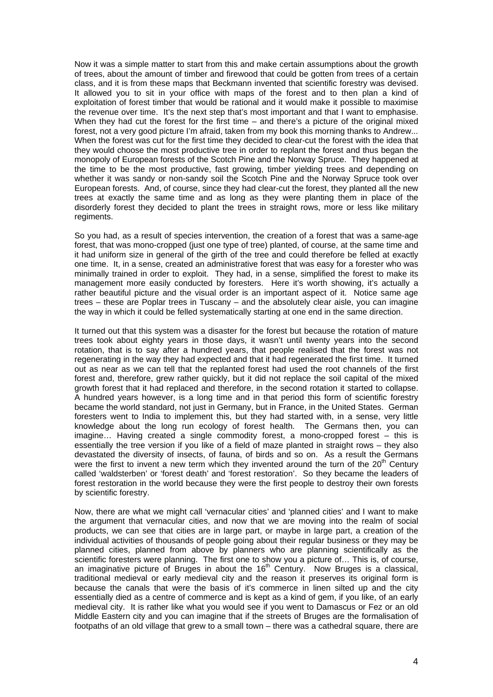Now it was a simple matter to start from this and make certain assumptions about the growth of trees, about the amount of timber and firewood that could be gotten from trees of a certain class, and it is from these maps that Beckmann invented that scientific forestry was devised. It allowed you to sit in your office with maps of the forest and to then plan a kind of exploitation of forest timber that would be rational and it would make it possible to maximise the revenue over time. It's the next step that's most important and that I want to emphasise. When they had cut the forest for the first time – and there's a picture of the original mixed forest, not a very good picture I'm afraid, taken from my book this morning thanks to Andrew... When the forest was cut for the first time they decided to clear-cut the forest with the idea that they would choose the most productive tree in order to replant the forest and thus began the monopoly of European forests of the Scotch Pine and the Norway Spruce. They happened at the time to be the most productive, fast growing, timber yielding trees and depending on whether it was sandy or non-sandy soil the Scotch Pine and the Norway Spruce took over European forests. And, of course, since they had clear-cut the forest, they planted all the new trees at exactly the same time and as long as they were planting them in place of the disorderly forest they decided to plant the trees in straight rows, more or less like military regiments.

So you had, as a result of species intervention, the creation of a forest that was a same-age forest, that was mono-cropped (just one type of tree) planted, of course, at the same time and it had uniform size in general of the girth of the tree and could therefore be felled at exactly one time. It, in a sense, created an administrative forest that was easy for a forester who was minimally trained in order to exploit. They had, in a sense, simplified the forest to make its management more easily conducted by foresters. Here it's worth showing, it's actually a rather beautiful picture and the visual order is an important aspect of it. Notice same age trees – these are Poplar trees in Tuscany – and the absolutely clear aisle, you can imagine the way in which it could be felled systematically starting at one end in the same direction.

It turned out that this system was a disaster for the forest but because the rotation of mature trees took about eighty years in those days, it wasn't until twenty years into the second rotation, that is to say after a hundred years, that people realised that the forest was not regenerating in the way they had expected and that it had regenerated the first time. It turned out as near as we can tell that the replanted forest had used the root channels of the first forest and, therefore, grew rather quickly, but it did not replace the soil capital of the mixed growth forest that it had replaced and therefore, in the second rotation it started to collapse. A hundred years however, is a long time and in that period this form of scientific forestry became the world standard, not just in Germany, but in France, in the United States. German foresters went to India to implement this, but they had started with, in a sense, very little knowledge about the long run ecology of forest health. The Germans then, you can imagine… Having created a single commodity forest, a mono-cropped forest – this is essentially the tree version if you like of a field of maze planted in straight rows – they also devastated the diversity of insects, of fauna, of birds and so on. As a result the Germans were the first to invent a new term which they invented around the turn of the  $20<sup>th</sup>$  Century called 'waldsterben' or 'forest death' and 'forest restoration'. So they became the leaders of forest restoration in the world because they were the first people to destroy their own forests by scientific forestry.

Now, there are what we might call 'vernacular cities' and 'planned cities' and I want to make the argument that vernacular cities, and now that we are moving into the realm of social products, we can see that cities are in large part, or maybe in large part, a creation of the individual activities of thousands of people going about their regular business or they may be planned cities, planned from above by planners who are planning scientifically as the scientific foresters were planning. The first one to show you a picture of… This is, of course, an imaginative picture of Bruges in about the  $16<sup>th</sup>$  Century. Now Bruges is a classical, traditional medieval or early medieval city and the reason it preserves its original form is because the canals that were the basis of it's commerce in linen silted up and the city essentially died as a centre of commerce and is kept as a kind of gem, if you like, of an early medieval city. It is rather like what you would see if you went to Damascus or Fez or an old Middle Eastern city and you can imagine that if the streets of Bruges are the formalisation of footpaths of an old village that grew to a small town – there was a cathedral square, there are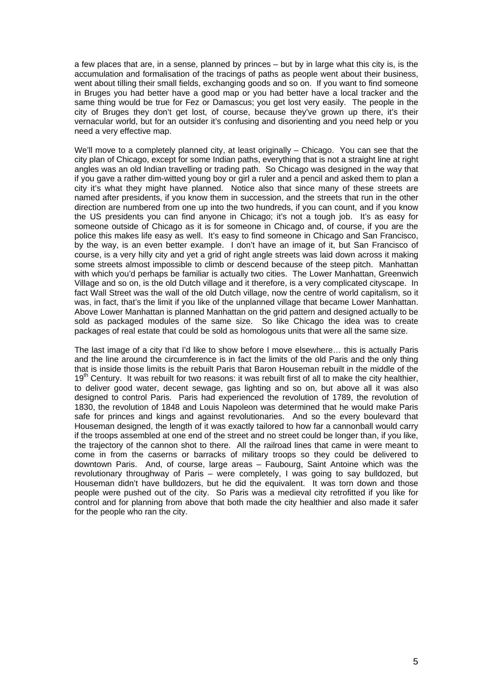a few places that are, in a sense, planned by princes – but by in large what this city is, is the accumulation and formalisation of the tracings of paths as people went about their business, went about tilling their small fields, exchanging goods and so on. If you want to find someone in Bruges you had better have a good map or you had better have a local tracker and the same thing would be true for Fez or Damascus; you get lost very easily. The people in the city of Bruges they don't get lost, of course, because they've grown up there, it's their vernacular world, but for an outsider it's confusing and disorienting and you need help or you need a very effective map.

We'll move to a completely planned city, at least originally – Chicago. You can see that the city plan of Chicago, except for some Indian paths, everything that is not a straight line at right angles was an old Indian travelling or trading path. So Chicago was designed in the way that if you gave a rather dim-witted young boy or girl a ruler and a pencil and asked them to plan a city it's what they might have planned. Notice also that since many of these streets are named after presidents, if you know them in succession, and the streets that run in the other direction are numbered from one up into the two hundreds, if you can count, and if you know the US presidents you can find anyone in Chicago; it's not a tough job. It's as easy for someone outside of Chicago as it is for someone in Chicago and, of course, if you are the police this makes life easy as well. It's easy to find someone in Chicago and San Francisco, by the way, is an even better example. I don't have an image of it, but San Francisco of course, is a very hilly city and yet a grid of right angle streets was laid down across it making some streets almost impossible to climb or descend because of the steep pitch. Manhattan with which you'd perhaps be familiar is actually two cities. The Lower Manhattan, Greenwich Village and so on, is the old Dutch village and it therefore, is a very complicated cityscape. In fact Wall Street was the wall of the old Dutch village, now the centre of world capitalism, so it was, in fact, that's the limit if you like of the unplanned village that became Lower Manhattan. Above Lower Manhattan is planned Manhattan on the grid pattern and designed actually to be sold as packaged modules of the same size. So like Chicago the idea was to create packages of real estate that could be sold as homologous units that were all the same size.

The last image of a city that I'd like to show before I move elsewhere… this is actually Paris and the line around the circumference is in fact the limits of the old Paris and the only thing that is inside those limits is the rebuilt Paris that Baron Houseman rebuilt in the middle of the 19<sup>th</sup> Century. It was rebuilt for two reasons: it was rebuilt first of all to make the city healthier, to deliver good water, decent sewage, gas lighting and so on, but above all it was also designed to control Paris. Paris had experienced the revolution of 1789, the revolution of 1830, the revolution of 1848 and Louis Napoleon was determined that he would make Paris safe for princes and kings and against revolutionaries. And so the every boulevard that Houseman designed, the length of it was exactly tailored to how far a cannonball would carry if the troops assembled at one end of the street and no street could be longer than, if you like, the trajectory of the cannon shot to there. All the railroad lines that came in were meant to come in from the caserns or barracks of military troops so they could be delivered to downtown Paris. And, of course, large areas – Faubourg, Saint Antoine which was the revolutionary throughway of Paris – were completely, I was going to say bulldozed, but Houseman didn't have bulldozers, but he did the equivalent. It was torn down and those people were pushed out of the city. So Paris was a medieval city retrofitted if you like for control and for planning from above that both made the city healthier and also made it safer for the people who ran the city.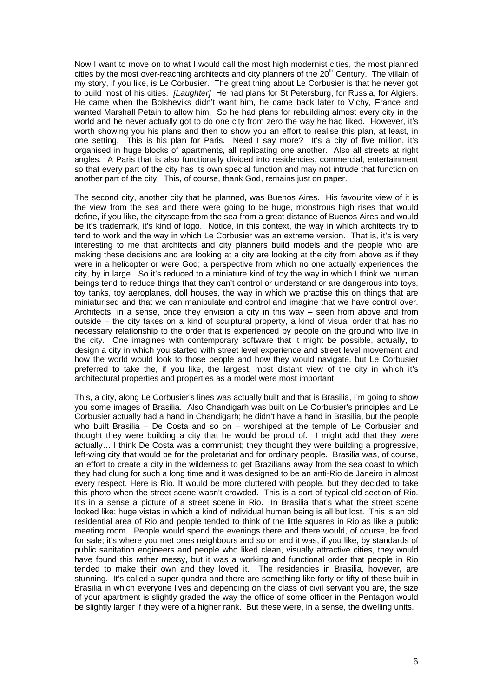Now I want to move on to what I would call the most high modernist cities, the most planned cities by the most over-reaching architects and city planners of the  $20<sup>th</sup>$  Century. The villain of my story, if you like, is Le Corbusier. The great thing about Le Corbusier is that he never got to build most of his cities. *[Laughter]* He had plans for St Petersburg, for Russia, for Algiers. He came when the Bolsheviks didn't want him, he came back later to Vichy, France and wanted Marshall Petain to allow him. So he had plans for rebuilding almost every city in the world and he never actually got to do one city from zero the way he had liked. However, it's worth showing you his plans and then to show you an effort to realise this plan, at least, in one setting. This is his plan for Paris. Need I say more? It's a city of five million, it's organised in huge blocks of apartments, all replicating one another. Also all streets at right angles. A Paris that is also functionally divided into residencies, commercial, entertainment so that every part of the city has its own special function and may not intrude that function on another part of the city. This, of course, thank God, remains just on paper.

The second city, another city that he planned, was Buenos Aires. His favourite view of it is the view from the sea and there were going to be huge, monstrous high rises that would define, if you like, the cityscape from the sea from a great distance of Buenos Aires and would be it's trademark, it's kind of logo. Notice, in this context, the way in which architects try to tend to work and the way in which Le Corbusier was an extreme version. That is, it's is very interesting to me that architects and city planners build models and the people who are making these decisions and are looking at a city are looking at the city from above as if they were in a helicopter or were God; a perspective from which no one actually experiences the city, by in large. So it's reduced to a miniature kind of toy the way in which I think we human beings tend to reduce things that they can't control or understand or are dangerous into toys, toy tanks, toy aeroplanes, doll houses, the way in which we practise this on things that are miniaturised and that we can manipulate and control and imagine that we have control over. Architects, in a sense, once they envision a city in this way – seen from above and from outside – the city takes on a kind of sculptural property, a kind of visual order that has no necessary relationship to the order that is experienced by people on the ground who live in the city. One imagines with contemporary software that it might be possible, actually, to design a city in which you started with street level experience and street level movement and how the world would look to those people and how they would navigate, but Le Corbusier preferred to take the, if you like, the largest, most distant view of the city in which it's architectural properties and properties as a model were most important.

This, a city, along Le Corbusier's lines was actually built and that is Brasilia, I'm going to show you some images of Brasilia. Also Chandigarh was built on Le Corbusier's principles and Le Corbusier actually had a hand in Chandigarh; he didn't have a hand in Brasilia, but the people who built Brasilia – De Costa and so on – worshiped at the temple of Le Corbusier and thought they were building a city that he would be proud of. I might add that they were actually… I think De Costa was a communist; they thought they were building a progressive, left-wing city that would be for the proletariat and for ordinary people. Brasilia was, of course, an effort to create a city in the wilderness to get Brazilians away from the sea coast to which they had clung for such a long time and it was designed to be an anti-Rio de Janeiro in almost every respect. Here is Rio. It would be more cluttered with people, but they decided to take this photo when the street scene wasn't crowded. This is a sort of typical old section of Rio. It's in a sense a picture of a street scene in Rio. In Brasilia that's what the street scene looked like: huge vistas in which a kind of individual human being is all but lost. This is an old residential area of Rio and people tended to think of the little squares in Rio as like a public meeting room. People would spend the evenings there and there would, of course, be food for sale; it's where you met ones neighbours and so on and it was, if you like, by standards of public sanitation engineers and people who liked clean, visually attractive cities, they would have found this rather messy, but it was a working and functional order that people in Rio tended to make their own and they loved it. The residencies in Brasilia, however**,** are stunning. It's called a super-quadra and there are something like forty or fifty of these built in Brasilia in which everyone lives and depending on the class of civil servant you are, the size of your apartment is slightly graded the way the office of some officer in the Pentagon would be slightly larger if they were of a higher rank. But these were, in a sense, the dwelling units.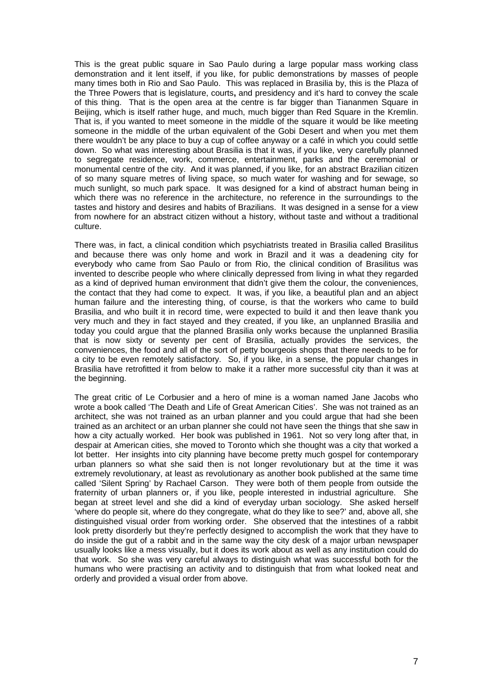This is the great public square in Sao Paulo during a large popular mass working class demonstration and it lent itself, if you like, for public demonstrations by masses of people many times both in Rio and Sao Paulo. This was replaced in Brasilia by, this is the Plaza of the Three Powers that is legislature, courts**,** and presidency and it's hard to convey the scale of this thing. That is the open area at the centre is far bigger than Tiananmen Square in Beijing, which is itself rather huge, and much, much bigger than Red Square in the Kremlin. That is, if you wanted to meet someone in the middle of the square it would be like meeting someone in the middle of the urban equivalent of the Gobi Desert and when you met them there wouldn't be any place to buy a cup of coffee anyway or a café in which you could settle down. So what was interesting about Brasilia is that it was, if you like, very carefully planned to segregate residence, work, commerce, entertainment, parks and the ceremonial or monumental centre of the city. And it was planned, if you like, for an abstract Brazilian citizen of so many square metres of living space, so much water for washing and for sewage, so much sunlight, so much park space. It was designed for a kind of abstract human being in which there was no reference in the architecture, no reference in the surroundings to the tastes and history and desires and habits of Brazilians. It was designed in a sense for a view from nowhere for an abstract citizen without a history, without taste and without a traditional culture.

There was, in fact, a clinical condition which psychiatrists treated in Brasilia called Brasilitus and because there was only home and work in Brazil and it was a deadening city for everybody who came from Sao Paulo or from Rio, the clinical condition of Brasilitus was invented to describe people who where clinically depressed from living in what they regarded as a kind of deprived human environment that didn't give them the colour, the conveniences, the contact that they had come to expect. It was, if you like, a beautiful plan and an abject human failure and the interesting thing, of course, is that the workers who came to build Brasilia, and who built it in record time, were expected to build it and then leave thank you very much and they in fact stayed and they created, if you like, an unplanned Brasilia and today you could argue that the planned Brasilia only works because the unplanned Brasilia that is now sixty or seventy per cent of Brasilia, actually provides the services, the conveniences, the food and all of the sort of petty bourgeois shops that there needs to be for a city to be even remotely satisfactory. So, if you like, in a sense, the popular changes in Brasilia have retrofitted it from below to make it a rather more successful city than it was at the beginning.

The great critic of Le Corbusier and a hero of mine is a woman named Jane Jacobs who wrote a book called 'The Death and Life of Great American Cities'. She was not trained as an architect, she was not trained as an urban planner and you could argue that had she been trained as an architect or an urban planner she could not have seen the things that she saw in how a city actually worked. Her book was published in 1961. Not so very long after that, in despair at American cities, she moved to Toronto which she thought was a city that worked a lot better. Her insights into city planning have become pretty much gospel for contemporary urban planners so what she said then is not longer revolutionary but at the time it was extremely revolutionary, at least as revolutionary as another book published at the same time called 'Silent Spring' by Rachael Carson. They were both of them people from outside the fraternity of urban planners or, if you like, people interested in industrial agriculture. She began at street level and she did a kind of everyday urban sociology. She asked herself 'where do people sit, where do they congregate, what do they like to see?' and, above all, she distinguished visual order from working order. She observed that the intestines of a rabbit look pretty disorderly but they're perfectly designed to accomplish the work that they have to do inside the gut of a rabbit and in the same way the city desk of a major urban newspaper usually looks like a mess visually, but it does its work about as well as any institution could do that work. So she was very careful always to distinguish what was successful both for the humans who were practising an activity and to distinguish that from what looked neat and orderly and provided a visual order from above.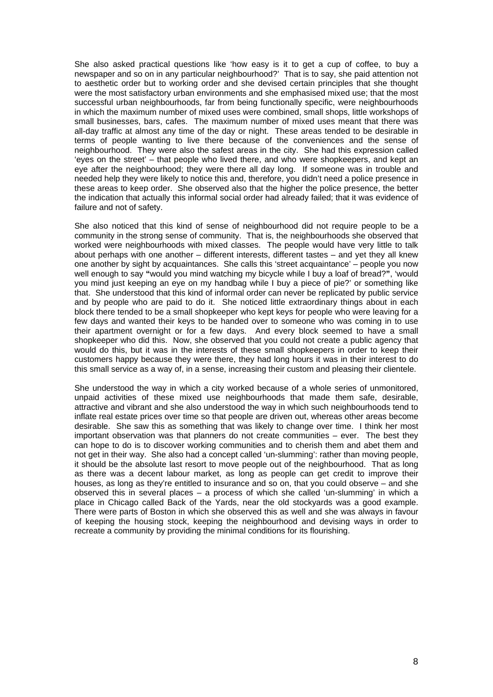She also asked practical questions like 'how easy is it to get a cup of coffee, to buy a newspaper and so on in any particular neighbourhood?' That is to say, she paid attention not to aesthetic order but to working order and she devised certain principles that she thought were the most satisfactory urban environments and she emphasised mixed use; that the most successful urban neighbourhoods, far from being functionally specific, were neighbourhoods in which the maximum number of mixed uses were combined, small shops, little workshops of small businesses, bars, cafes. The maximum number of mixed uses meant that there was all-day traffic at almost any time of the day or night. These areas tended to be desirable in terms of people wanting to live there because of the conveniences and the sense of neighbourhood. They were also the safest areas in the city. She had this expression called 'eyes on the street' – that people who lived there, and who were shopkeepers, and kept an eye after the neighbourhood; they were there all day long. If someone was in trouble and needed help they were likely to notice this and, therefore, you didn't need a police presence in these areas to keep order. She observed also that the higher the police presence, the better the indication that actually this informal social order had already failed; that it was evidence of failure and not of safety.

She also noticed that this kind of sense of neighbourhood did not require people to be a community in the strong sense of community. That is, the neighbourhoods she observed that worked were neighbourhoods with mixed classes. The people would have very little to talk about perhaps with one another – different interests, different tastes – and yet they all knew one another by sight by acquaintances. She calls this 'street acquaintance' – people you now well enough to say **"**would you mind watching my bicycle while I buy a loaf of bread?**"**, 'would you mind just keeping an eye on my handbag while I buy a piece of pie?' or something like that. She understood that this kind of informal order can never be replicated by public service and by people who are paid to do it. She noticed little extraordinary things about in each block there tended to be a small shopkeeper who kept keys for people who were leaving for a few days and wanted their keys to be handed over to someone who was coming in to use their apartment overnight or for a few days. And every block seemed to have a small shopkeeper who did this. Now, she observed that you could not create a public agency that would do this, but it was in the interests of these small shopkeepers in order to keep their customers happy because they were there, they had long hours it was in their interest to do this small service as a way of, in a sense, increasing their custom and pleasing their clientele.

She understood the way in which a city worked because of a whole series of unmonitored, unpaid activities of these mixed use neighbourhoods that made them safe, desirable, attractive and vibrant and she also understood the way in which such neighbourhoods tend to inflate real estate prices over time so that people are driven out, whereas other areas become desirable. She saw this as something that was likely to change over time. I think her most important observation was that planners do not create communities – ever. The best they can hope to do is to discover working communities and to cherish them and abet them and not get in their way. She also had a concept called 'un-slumming': rather than moving people, it should be the absolute last resort to move people out of the neighbourhood. That as long as there was a decent labour market, as long as people can get credit to improve their houses, as long as they're entitled to insurance and so on, that you could observe – and she observed this in several places – a process of which she called 'un-slumming' in which a place in Chicago called Back of the Yards, near the old stockyards was a good example. There were parts of Boston in which she observed this as well and she was always in favour of keeping the housing stock, keeping the neighbourhood and devising ways in order to recreate a community by providing the minimal conditions for its flourishing.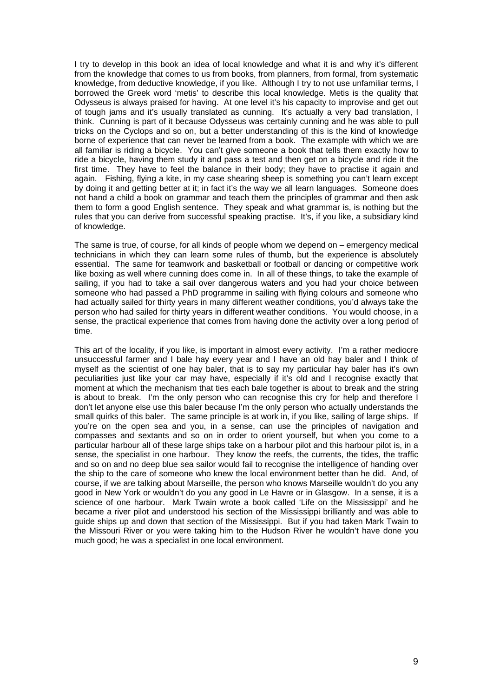I try to develop in this book an idea of local knowledge and what it is and why it's different from the knowledge that comes to us from books, from planners, from formal, from systematic knowledge, from deductive knowledge, if you like. Although I try to not use unfamiliar terms, I borrowed the Greek word 'metis' to describe this local knowledge. Metis is the quality that Odysseus is always praised for having. At one level it's his capacity to improvise and get out of tough jams and it's usually translated as cunning. It's actually a very bad translation, I think. Cunning is part of it because Odysseus was certainly cunning and he was able to pull tricks on the Cyclops and so on, but a better understanding of this is the kind of knowledge borne of experience that can never be learned from a book. The example with which we are all familiar is riding a bicycle. You can't give someone a book that tells them exactly how to ride a bicycle, having them study it and pass a test and then get on a bicycle and ride it the first time. They have to feel the balance in their body; they have to practise it again and again. Fishing, flying a kite, in my case shearing sheep is something you can't learn except by doing it and getting better at it; in fact it's the way we all learn languages. Someone does not hand a child a book on grammar and teach them the principles of grammar and then ask them to form a good English sentence. They speak and what grammar is, is nothing but the rules that you can derive from successful speaking practise. It's, if you like, a subsidiary kind of knowledge.

The same is true, of course, for all kinds of people whom we depend on – emergency medical technicians in which they can learn some rules of thumb, but the experience is absolutely essential. The same for teamwork and basketball or football or dancing or competitive work like boxing as well where cunning does come in. In all of these things, to take the example of sailing, if you had to take a sail over dangerous waters and you had your choice between someone who had passed a PhD programme in sailing with flying colours and someone who had actually sailed for thirty years in many different weather conditions, you'd always take the person who had sailed for thirty years in different weather conditions. You would choose, in a sense, the practical experience that comes from having done the activity over a long period of time.

This art of the locality, if you like, is important in almost every activity. I'm a rather mediocre unsuccessful farmer and I bale hay every year and I have an old hay baler and I think of myself as the scientist of one hay baler, that is to say my particular hay baler has it's own peculiarities just like your car may have, especially if it's old and I recognise exactly that moment at which the mechanism that ties each bale together is about to break and the string is about to break. I'm the only person who can recognise this cry for help and therefore I don't let anyone else use this baler because I'm the only person who actually understands the small quirks of this baler. The same principle is at work in, if you like, sailing of large ships. If you're on the open sea and you, in a sense, can use the principles of navigation and compasses and sextants and so on in order to orient yourself, but when you come to a particular harbour all of these large ships take on a harbour pilot and this harbour pilot is, in a sense, the specialist in one harbour. They know the reefs, the currents, the tides, the traffic and so on and no deep blue sea sailor would fail to recognise the intelligence of handing over the ship to the care of someone who knew the local environment better than he did. And, of course, if we are talking about Marseille, the person who knows Marseille wouldn't do you any good in New York or wouldn't do you any good in Le Havre or in Glasgow. In a sense, it is a science of one harbour. Mark Twain wrote a book called 'Life on the Mississippi' and he became a river pilot and understood his section of the Mississippi brilliantly and was able to guide ships up and down that section of the Mississippi. But if you had taken Mark Twain to the Missouri River or you were taking him to the Hudson River he wouldn't have done you much good; he was a specialist in one local environment.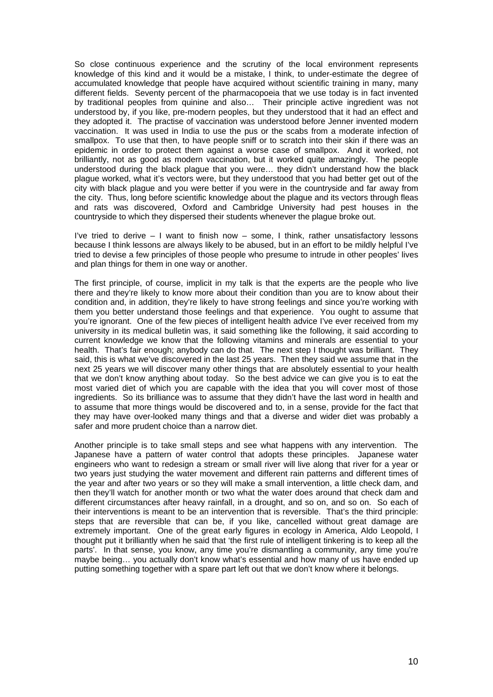So close continuous experience and the scrutiny of the local environment represents knowledge of this kind and it would be a mistake, I think, to under-estimate the degree of accumulated knowledge that people have acquired without scientific training in many, many different fields. Seventy percent of the pharmacopoeia that we use today is in fact invented by traditional peoples from quinine and also… Their principle active ingredient was not understood by, if you like, pre-modern peoples, but they understood that it had an effect and they adopted it. The practise of vaccination was understood before Jenner invented modern vaccination. It was used in India to use the pus or the scabs from a moderate infection of smallpox. To use that then, to have people sniff or to scratch into their skin if there was an epidemic in order to protect them against a worse case of smallpox. And it worked, not brilliantly, not as good as modern vaccination, but it worked quite amazingly. The people understood during the black plague that you were… they didn't understand how the black plague worked, what it's vectors were, but they understood that you had better get out of the city with black plague and you were better if you were in the countryside and far away from the city. Thus, long before scientific knowledge about the plague and its vectors through fleas and rats was discovered, Oxford and Cambridge University had pest houses in the countryside to which they dispersed their students whenever the plague broke out.

I've tried to derive – I want to finish now – some, I think, rather unsatisfactory lessons because I think lessons are always likely to be abused, but in an effort to be mildly helpful I've tried to devise a few principles of those people who presume to intrude in other peoples' lives and plan things for them in one way or another.

The first principle, of course, implicit in my talk is that the experts are the people who live there and they're likely to know more about their condition than you are to know about their condition and, in addition, they're likely to have strong feelings and since you're working with them you better understand those feelings and that experience. You ought to assume that you're ignorant. One of the few pieces of intelligent health advice I've ever received from my university in its medical bulletin was, it said something like the following, it said according to current knowledge we know that the following vitamins and minerals are essential to your health. That's fair enough; anybody can do that. The next step I thought was brilliant. They said, this is what we've discovered in the last 25 years. Then they said we assume that in the next 25 years we will discover many other things that are absolutely essential to your health that we don't know anything about today. So the best advice we can give you is to eat the most varied diet of which you are capable with the idea that you will cover most of those ingredients. So its brilliance was to assume that they didn't have the last word in health and to assume that more things would be discovered and to, in a sense, provide for the fact that they may have over-looked many things and that a diverse and wider diet was probably a safer and more prudent choice than a narrow diet.

Another principle is to take small steps and see what happens with any intervention. The Japanese have a pattern of water control that adopts these principles. Japanese water engineers who want to redesign a stream or small river will live along that river for a year or two years just studying the water movement and different rain patterns and different times of the year and after two years or so they will make a small intervention, a little check dam, and then they'll watch for another month or two what the water does around that check dam and different circumstances after heavy rainfall, in a drought, and so on, and so on. So each of their interventions is meant to be an intervention that is reversible. That's the third principle: steps that are reversible that can be, if you like, cancelled without great damage are extremely important. One of the great early figures in ecology in America, Aldo Leopold, I thought put it brilliantly when he said that 'the first rule of intelligent tinkering is to keep all the parts'. In that sense, you know, any time you're dismantling a community, any time you're maybe being… you actually don't know what's essential and how many of us have ended up putting something together with a spare part left out that we don't know where it belongs.